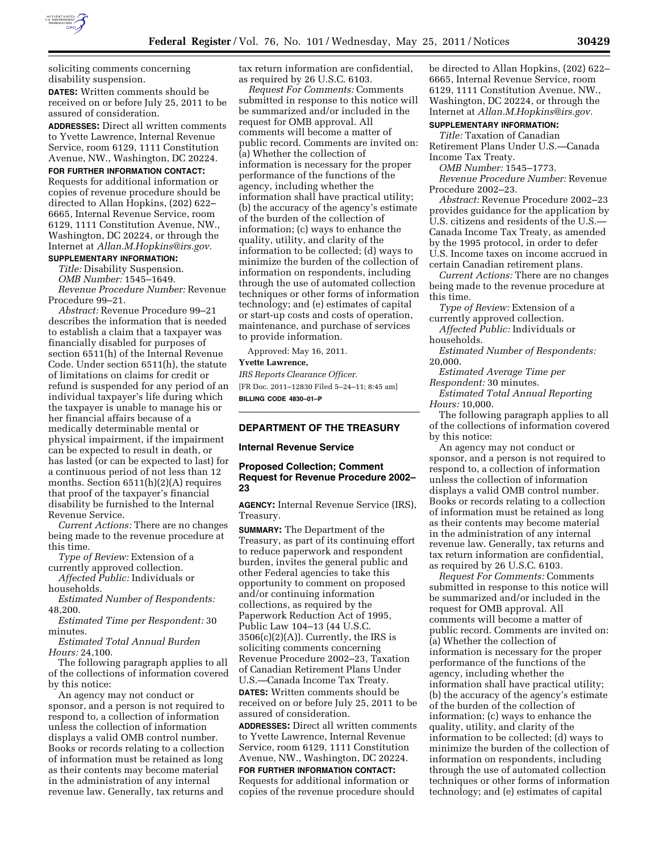

soliciting comments concerning disability suspension.

**DATES:** Written comments should be received on or before July 25, 2011 to be assured of consideration.

**ADDRESSES:** Direct all written comments to Yvette Lawrence, Internal Revenue Service, room 6129, 1111 Constitution Avenue, NW., Washington, DC 20224.

### **FOR FURTHER INFORMATION CONTACT:**

Requests for additional information or copies of revenue procedure should be directed to Allan Hopkins, (202) 622– 6665, Internal Revenue Service, room 6129, 1111 Constitution Avenue, NW., Washington, DC 20224, or through the Internet at *[Allan.M.Hopkins@irs.gov.](mailto:Allan.M.Hopkins@irs.gov)* 

# **SUPPLEMENTARY INFORMATION:**

*Title:* Disability Suspension. *OMB Number:* 1545–1649. *Revenue Procedure Number:* Revenue

Procedure 99–21.

*Abstract:* Revenue Procedure 99–21 describes the information that is needed to establish a claim that a taxpayer was financially disabled for purposes of section 6511(h) of the Internal Revenue Code. Under section 6511(h), the statute of limitations on claims for credit or refund is suspended for any period of an individual taxpayer's life during which the taxpayer is unable to manage his or her financial affairs because of a medically determinable mental or physical impairment, if the impairment can be expected to result in death, or has lasted (or can be expected to last) for a continuous period of not less than 12 months. Section 6511(h)(2)(A) requires that proof of the taxpayer's financial disability be furnished to the Internal Revenue Service.

*Current Actions:* There are no changes being made to the revenue procedure at this time.

*Type of Review:* Extension of a currently approved collection.

*Affected Public:* Individuals or households.

*Estimated Number of Respondents:*  48,200.

*Estimated Time per Respondent:* 30 minutes.

*Estimated Total Annual Burden Hours:* 24,100.

The following paragraph applies to all of the collections of information covered by this notice:

An agency may not conduct or sponsor, and a person is not required to respond to, a collection of information unless the collection of information displays a valid OMB control number. Books or records relating to a collection of information must be retained as long as their contents may become material in the administration of any internal revenue law. Generally, tax returns and

tax return information are confidential, as required by 26 U.S.C. 6103.

*Request For Comments:* Comments submitted in response to this notice will be summarized and/or included in the request for OMB approval. All comments will become a matter of public record. Comments are invited on: (a) Whether the collection of information is necessary for the proper performance of the functions of the agency, including whether the information shall have practical utility; (b) the accuracy of the agency's estimate of the burden of the collection of information; (c) ways to enhance the quality, utility, and clarity of the information to be collected; (d) ways to minimize the burden of the collection of information on respondents, including through the use of automated collection techniques or other forms of information technology; and (e) estimates of capital or start-up costs and costs of operation, maintenance, and purchase of services to provide information.

Approved: May 16, 2011.

### **Yvette Lawrence,**

*IRS Reports Clearance Officer.*  [FR Doc. 2011–12830 Filed 5–24–11; 8:45 am] **BILLING CODE 4830–01–P** 

#### **DEPARTMENT OF THE TREASURY**

### **Internal Revenue Service**

## **Proposed Collection; Comment Request for Revenue Procedure 2002– 23**

**AGENCY:** Internal Revenue Service (IRS), Treasury.

**SUMMARY:** The Department of the Treasury, as part of its continuing effort to reduce paperwork and respondent burden, invites the general public and other Federal agencies to take this opportunity to comment on proposed and/or continuing information collections, as required by the Paperwork Reduction Act of 1995, Public Law 104–13 (44 U.S.C.  $3506(c)(2)(A)$ . Currently, the IRS is soliciting comments concerning Revenue Procedure 2002–23, Taxation of Canadian Retirement Plans Under U.S.—Canada Income Tax Treaty.

**DATES:** Written comments should be received on or before July 25, 2011 to be assured of consideration.

**ADDRESSES:** Direct all written comments to Yvette Lawrence, Internal Revenue Service, room 6129, 1111 Constitution Avenue, NW., Washington, DC 20224.

**FOR FURTHER INFORMATION CONTACT:**  Requests for additional information or copies of the revenue procedure should

be directed to Allan Hopkins, (202) 622– 6665, Internal Revenue Service, room 6129, 1111 Constitution Avenue, NW., Washington, DC 20224, or through the Internet at *[Allan.M.Hopkins@irs.gov.](mailto:Allan.M.Hopkins@irs.gov)* 

# **SUPPLEMENTARY INFORMATION:**

*Title:* Taxation of Canadian Retirement Plans Under U.S.—Canada Income Tax Treaty.

*OMB Number:* 1545–1773.

*Revenue Procedure Number:* Revenue Procedure 2002–23.

*Abstract:* Revenue Procedure 2002–23 provides guidance for the application by U.S. citizens and residents of the U.S.— Canada Income Tax Treaty, as amended by the 1995 protocol, in order to defer U.S. Income taxes on income accrued in certain Canadian retirement plans.

*Current Actions:* There are no changes being made to the revenue procedure at this time.

*Type of Review:* Extension of a currently approved collection.

*Affected Public:* Individuals or households.

*Estimated Number of Respondents:*  20,000.

*Estimated Average Time per Respondent:* 30 minutes.

*Estimated Total Annual Reporting Hours:* 10,000.

The following paragraph applies to all of the collections of information covered by this notice:

An agency may not conduct or sponsor, and a person is not required to respond to, a collection of information unless the collection of information displays a valid OMB control number. Books or records relating to a collection of information must be retained as long as their contents may become material in the administration of any internal revenue law. Generally, tax returns and tax return information are confidential, as required by 26 U.S.C. 6103.

*Request For Comments:* Comments submitted in response to this notice will be summarized and/or included in the request for OMB approval. All comments will become a matter of public record. Comments are invited on: (a) Whether the collection of information is necessary for the proper performance of the functions of the agency, including whether the information shall have practical utility; (b) the accuracy of the agency's estimate of the burden of the collection of information; (c) ways to enhance the quality, utility, and clarity of the information to be collected; (d) ways to minimize the burden of the collection of information on respondents, including through the use of automated collection techniques or other forms of information technology; and (e) estimates of capital